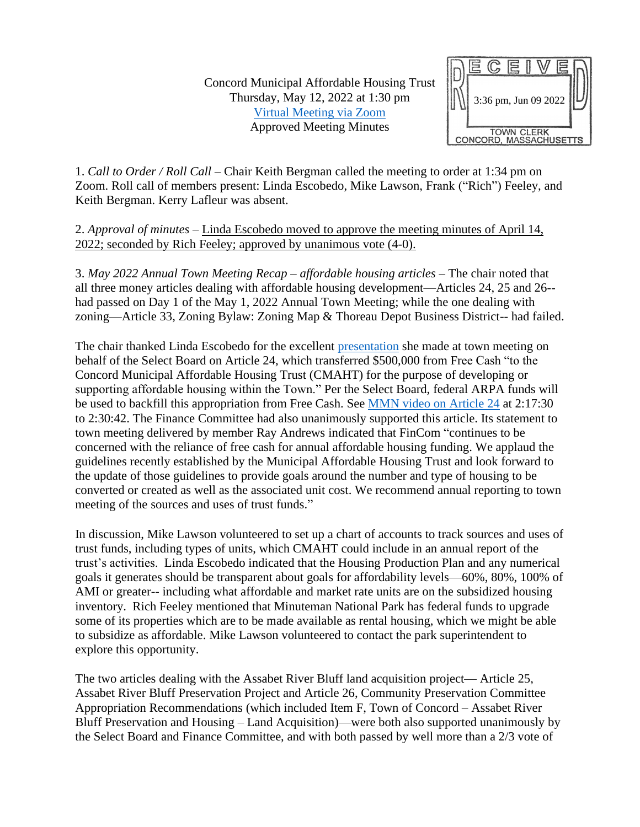Concord Municipal Affordable Housing Trust Thursday, May 12, 2022 at 1:30 pm [Virtual Meeting via Zoom](https://www.youtube.com/watch?v=Dad5evVPiRA) Approved Meeting Minutes



1. *Call to Order / Roll Call* – Chair Keith Bergman called the meeting to order at 1:34 pm on Zoom. Roll call of members present: Linda Escobedo, Mike Lawson, Frank ("Rich") Feeley, and Keith Bergman. Kerry Lafleur was absent.

2. *Approval of minutes* – Linda Escobedo moved to approve the meeting minutes of April 14, 2022; seconded by Rich Feeley; approved by unanimous vote (4-0).

3. *May 2022 Annual Town Meeting Recap – affordable housing articles* – The chair noted that all three money articles dealing with affordable housing development—Articles 24, 25 and 26- had passed on Day 1 of the May 1, 2022 Annual Town Meeting; while the one dealing with zoning—Article 33, Zoning Bylaw: Zoning Map & Thoreau Depot Business District-- had failed.

The chair thanked Linda Escobedo for the excellent [presentation](https://www.concordma.gov/3064/Article-24---Appropriate-Funds-for-Affor) she made at town meeting on behalf of the Select Board on Article 24, which transferred \$500,000 from Free Cash "to the Concord Municipal Affordable Housing Trust (CMAHT) for the purpose of developing or supporting affordable housing within the Town." Per the Select Board, federal ARPA funds will be used to backfill this appropriation from Free Cash. See [MMN video on Article 24](https://www.youtube.com/watch?v=KNl8RK83b6w&t=8250s) at 2:17:30 to 2:30:42. The Finance Committee had also unanimously supported this article. Its statement to town meeting delivered by member Ray Andrews indicated that FinCom "continues to be concerned with the reliance of free cash for annual affordable housing funding. We applaud the guidelines recently established by the Municipal Affordable Housing Trust and look forward to the update of those guidelines to provide goals around the number and type of housing to be converted or created as well as the associated unit cost. We recommend annual reporting to town meeting of the sources and uses of trust funds."

In discussion, Mike Lawson volunteered to set up a chart of accounts to track sources and uses of trust funds, including types of units, which CMAHT could include in an annual report of the trust's activities. Linda Escobedo indicated that the Housing Production Plan and any numerical goals it generates should be transparent about goals for affordability levels—60%, 80%, 100% of AMI or greater-- including what affordable and market rate units are on the subsidized housing inventory. Rich Feeley mentioned that Minuteman National Park has federal funds to upgrade some of its properties which are to be made available as rental housing, which we might be able to subsidize as affordable. Mike Lawson volunteered to contact the park superintendent to explore this opportunity.

The two articles dealing with the Assabet River Bluff land acquisition project— Article 25, Assabet River Bluff Preservation Project and Article 26, Community Preservation Committee Appropriation Recommendations (which included Item F, Town of Concord – Assabet River Bluff Preservation and Housing – Land Acquisition)—were both also supported unanimously by the Select Board and Finance Committee, and with both passed by well more than a 2/3 vote of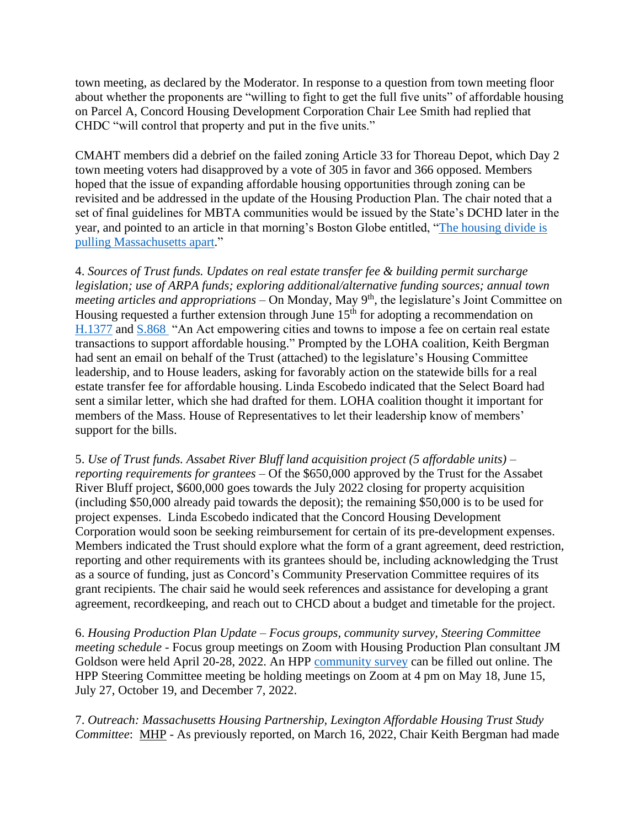town meeting, as declared by the Moderator. In response to a question from town meeting floor about whether the proponents are "willing to fight to get the full five units" of affordable housing on Parcel A, Concord Housing Development Corporation Chair Lee Smith had replied that CHDC "will control that property and put in the five units."

CMAHT members did a debrief on the failed zoning Article 33 for Thoreau Depot, which Day 2 town meeting voters had disapproved by a vote of 305 in favor and 366 opposed. Members hoped that the issue of expanding affordable housing opportunities through zoning can be revisited and be addressed in the update of the Housing Production Plan. The chair noted that a set of final guidelines for MBTA communities would be issued by the State's DCHD later in the year, and pointed to an article in that morning's Boston Globe entitled, ["The housing divide is](https://www.bostonglobe.com/2022/05/12/business/housing-divide-is-pulling-massachusetts-apart/)  [pulling Massachusetts apart.](https://www.bostonglobe.com/2022/05/12/business/housing-divide-is-pulling-massachusetts-apart/)"

4. *Sources of Trust funds. Updates on real estate transfer fee & building permit surcharge legislation; use of ARPA funds; exploring additional/alternative funding sources; annual town*  meeting articles and appropriations – On Monday, May 9<sup>th</sup>, the legislature's Joint Committee on Housing requested a further extension through June 15<sup>th</sup> for adopting a recommendation on [H.1377](https://malegislature.gov/Bills/192/H1377) and [S.868](https://malegislature.gov/Bills/192/S868) "An Act empowering cities and towns to impose a fee on certain real estate transactions to support affordable housing." Prompted by the LOHA coalition, Keith Bergman had sent an email on behalf of the Trust (attached) to the legislature's Housing Committee leadership, and to House leaders, asking for favorably action on the statewide bills for a real estate transfer fee for affordable housing. Linda Escobedo indicated that the Select Board had sent a similar letter, which she had drafted for them. LOHA coalition thought it important for members of the Mass. House of Representatives to let their leadership know of members' support for the bills.

5. *Use of Trust funds. Assabet River Bluff land acquisition project (5 affordable units) – reporting requirements for grantees* – Of the \$650,000 approved by the Trust for the Assabet River Bluff project, \$600,000 goes towards the July 2022 closing for property acquisition (including \$50,000 already paid towards the deposit); the remaining \$50,000 is to be used for project expenses. Linda Escobedo indicated that the Concord Housing Development Corporation would soon be seeking reimbursement for certain of its pre-development expenses. Members indicated the Trust should explore what the form of a grant agreement, deed restriction, reporting and other requirements with its grantees should be, including acknowledging the Trust as a source of funding, just as Concord's Community Preservation Committee requires of its grant recipients. The chair said he would seek references and assistance for developing a grant agreement, recordkeeping, and reach out to CHCD about a budget and timetable for the project.

6. *Housing Production Plan Update – Focus groups, community survey, Steering Committee meeting schedule* - Focus group meetings on Zoom with Housing Production Plan consultant JM Goldson were held April 20-28, 2022. An HPP [community survey](https://www.surveymonkey.com/r/TF92CST) can be filled out online. The HPP Steering Committee meeting be holding meetings on Zoom at 4 pm on May 18, June 15, July 27, October 19, and December 7, 2022.

7. *Outreach: Massachusetts Housing Partnership, Lexington Affordable Housing Trust Study Committee*: MHP - As previously reported, on March 16, 2022, Chair Keith Bergman had made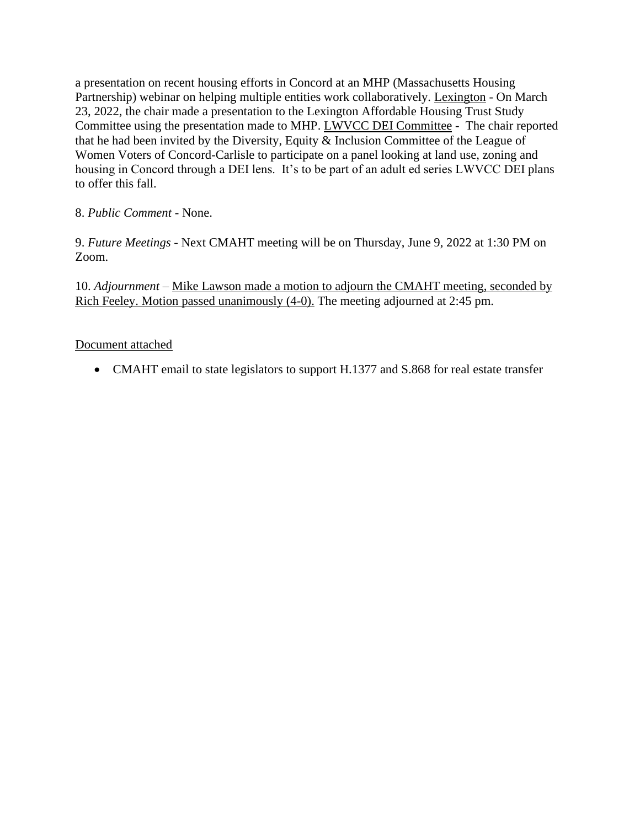a presentation on recent housing efforts in Concord at an MHP (Massachusetts Housing Partnership) webinar on helping multiple entities work collaboratively. Lexington - On March 23, 2022, the chair made a presentation to the Lexington Affordable Housing Trust Study Committee using the presentation made to MHP. LWVCC DEI Committee - The chair reported that he had been invited by the Diversity, Equity & Inclusion Committee of the League of Women Voters of Concord-Carlisle to participate on a panel looking at land use, zoning and housing in Concord through a DEI lens. It's to be part of an adult ed series LWVCC DEI plans to offer this fall.

## 8. *Public Comment -* None.

9. *Future Meetings* - Next CMAHT meeting will be on Thursday, June 9, 2022 at 1:30 PM on Zoom.

10. *Adjournment* – Mike Lawson made a motion to adjourn the CMAHT meeting, seconded by Rich Feeley. Motion passed unanimously (4-0). The meeting adjourned at 2:45 pm.

## Document attached

• CMAHT email to state legislators to support H.1377 and S.868 for real estate transfer